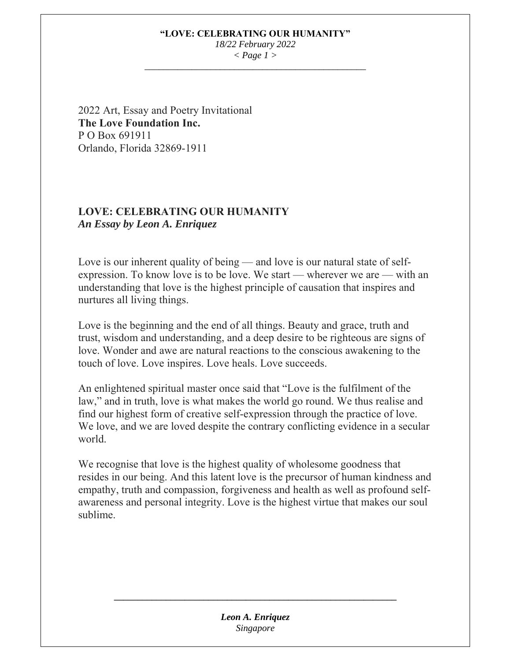## **"LOVE: CELEBRATING OUR HUMANITY"**

*18/22 February 2022 < Page 1 > \_\_\_\_\_\_\_\_\_\_\_\_\_\_\_\_\_\_\_\_\_\_\_\_\_\_\_\_\_\_\_\_\_\_\_\_\_\_\_\_\_\_\_\_\_\_\_* 

2022 Art, Essay and Poetry Invitational **The Love Foundation Inc.**  P O Box 691911 Orlando, Florida 32869-1911

# **LOVE: CELEBRATING OUR HUMANITY** *An Essay by Leon A. Enriquez*

Love is our inherent quality of being — and love is our natural state of selfexpression. To know love is to be love. We start — wherever we are — with an understanding that love is the highest principle of causation that inspires and nurtures all living things.

Love is the beginning and the end of all things. Beauty and grace, truth and trust, wisdom and understanding, and a deep desire to be righteous are signs of love. Wonder and awe are natural reactions to the conscious awakening to the touch of love. Love inspires. Love heals. Love succeeds.

An enlightened spiritual master once said that "Love is the fulfilment of the law," and in truth, love is what makes the world go round. We thus realise and find our highest form of creative self-expression through the practice of love. We love, and we are loved despite the contrary conflicting evidence in a secular world.

We recognise that love is the highest quality of wholesome goodness that resides in our being. And this latent love is the precursor of human kindness and empathy, truth and compassion, forgiveness and health as well as profound selfawareness and personal integrity. Love is the highest virtue that makes our soul sublime.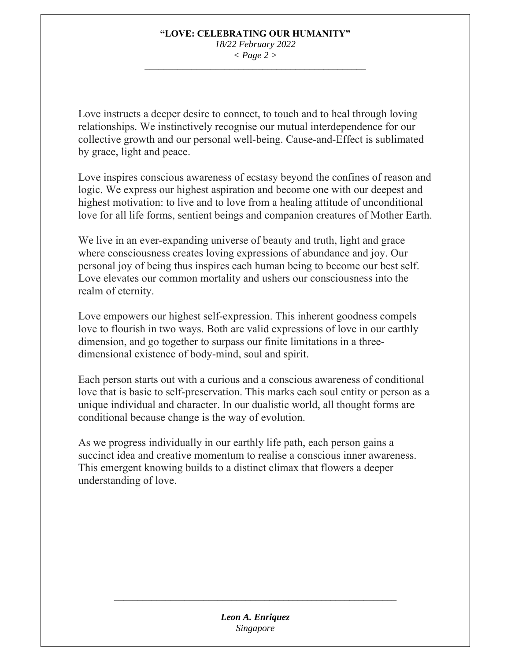#### **"LOVE: CELEBRATING OUR HUMANITY"**  *18/22 February 2022 < Page 2 >*

*\_\_\_\_\_\_\_\_\_\_\_\_\_\_\_\_\_\_\_\_\_\_\_\_\_\_\_\_\_\_\_\_\_\_\_\_\_\_\_\_\_\_\_\_\_\_\_* 

Love instructs a deeper desire to connect, to touch and to heal through loving relationships. We instinctively recognise our mutual interdependence for our collective growth and our personal well-being. Cause-and-Effect is sublimated by grace, light and peace.

Love inspires conscious awareness of ecstasy beyond the confines of reason and logic. We express our highest aspiration and become one with our deepest and highest motivation: to live and to love from a healing attitude of unconditional love for all life forms, sentient beings and companion creatures of Mother Earth.

We live in an ever-expanding universe of beauty and truth, light and grace where consciousness creates loving expressions of abundance and joy. Our personal joy of being thus inspires each human being to become our best self. Love elevates our common mortality and ushers our consciousness into the realm of eternity.

Love empowers our highest self-expression. This inherent goodness compels love to flourish in two ways. Both are valid expressions of love in our earthly dimension, and go together to surpass our finite limitations in a threedimensional existence of body-mind, soul and spirit.

Each person starts out with a curious and a conscious awareness of conditional love that is basic to self-preservation. This marks each soul entity or person as a unique individual and character. In our dualistic world, all thought forms are conditional because change is the way of evolution.

As we progress individually in our earthly life path, each person gains a succinct idea and creative momentum to realise a conscious inner awareness. This emergent knowing builds to a distinct climax that flowers a deeper understanding of love.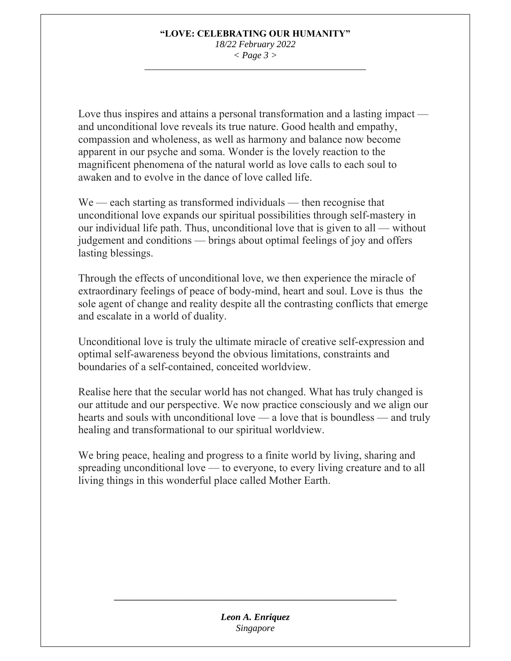#### **"LOVE: CELEBRATING OUR HUMANITY"**  *18/22 February 2022 < Page 3 >*

*\_\_\_\_\_\_\_\_\_\_\_\_\_\_\_\_\_\_\_\_\_\_\_\_\_\_\_\_\_\_\_\_\_\_\_\_\_\_\_\_\_\_\_\_\_\_\_* 

Love thus inspires and attains a personal transformation and a lasting impact and unconditional love reveals its true nature. Good health and empathy, compassion and wholeness, as well as harmony and balance now become apparent in our psyche and soma. Wonder is the lovely reaction to the magnificent phenomena of the natural world as love calls to each soul to awaken and to evolve in the dance of love called life.

We — each starting as transformed individuals — then recognise that unconditional love expands our spiritual possibilities through self-mastery in our individual life path. Thus, unconditional love that is given to all — without judgement and conditions — brings about optimal feelings of joy and offers lasting blessings.

Through the effects of unconditional love, we then experience the miracle of extraordinary feelings of peace of body-mind, heart and soul. Love is thus the sole agent of change and reality despite all the contrasting conflicts that emerge and escalate in a world of duality.

Unconditional love is truly the ultimate miracle of creative self-expression and optimal self-awareness beyond the obvious limitations, constraints and boundaries of a self-contained, conceited worldview.

Realise here that the secular world has not changed. What has truly changed is our attitude and our perspective. We now practice consciously and we align our hearts and souls with unconditional love — a love that is boundless — and truly healing and transformational to our spiritual worldview.

We bring peace, healing and progress to a finite world by living, sharing and spreading unconditional love — to everyone, to every living creature and to all living things in this wonderful place called Mother Earth.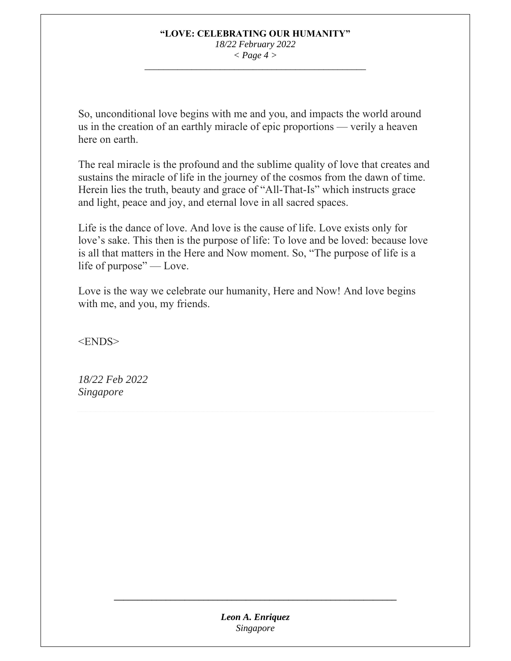## **"LOVE: CELEBRATING OUR HUMANITY"**  *18/22 February 2022*

*< Page 4 > \_\_\_\_\_\_\_\_\_\_\_\_\_\_\_\_\_\_\_\_\_\_\_\_\_\_\_\_\_\_\_\_\_\_\_\_\_\_\_\_\_\_\_\_\_\_\_* 

So, unconditional love begins with me and you, and impacts the world around us in the creation of an earthly miracle of epic proportions — verily a heaven here on earth.

The real miracle is the profound and the sublime quality of love that creates and sustains the miracle of life in the journey of the cosmos from the dawn of time. Herein lies the truth, beauty and grace of "All-That-Is" which instructs grace and light, peace and joy, and eternal love in all sacred spaces.

Life is the dance of love. And love is the cause of life. Love exists only for love's sake. This then is the purpose of life: To love and be loved: because love is all that matters in the Here and Now moment. So, "The purpose of life is a life of purpose" — Love.

Love is the way we celebrate our humanity, Here and Now! And love begins with me, and you, my friends.

<ENDS>

*18/22 Feb 2022 Singapore*